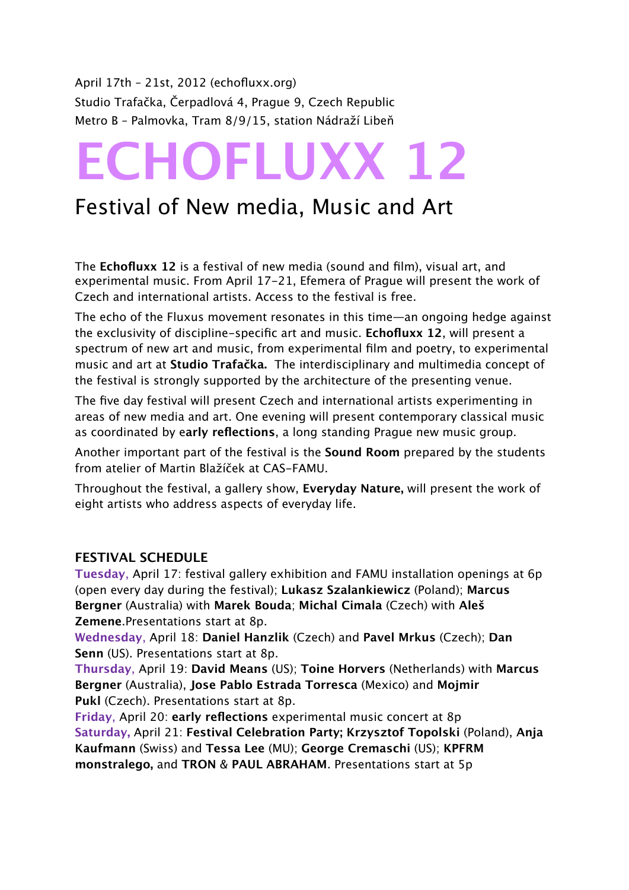April 17th – 21st, 2012 (echofluxx.org) Studio Trafačka, Čerpadlová 4, Prague 9, Czech Republic Metro B – Palmovka, Tram 8/9/15, station Nádraží Libeň

# **ECHOFLUXX 12**

# Festival of New media, Music and Art

The **Echofluxx 12** is a festival of new media (sound and film), visual art, and experimental music. From April 17-21, Efemera of Prague will present the work of Czech and international artists. Access to the festival is free.

The echo of the Fluxus movement resonates in this time—an ongoing hedge against the exclusivity of discipline-specific art and music. **Echofluxx 12**, will present a spectrum of new art and music, from experimental film and poetry, to experimental music and art at **Studio Trafačka.** The interdisciplinary and multimedia concept of the festival is strongly supported by the architecture of the presenting venue.

The five day festival will present Czech and international artists experimenting in areas of new media and art. One evening will present contemporary classical music as coordinated by e**arly reflections**, a long standing Prague new music group.

Another important part of the festival is the **Sound Room** prepared by the students from atelier of Martin Blažíček at CAS-FAMU.

Throughout the festival, a gallery show, **Everyday Nature,** will present the work of eight artists who address aspects of everyday life.

## **FESTIVAL SCHEDULE**

**Tuesday**, April 17: festival gallery exhibition and FAMU installation openings at 6p (open every day during the festival); **[Lukasz Szalankiewicz](http://www.zenial.audiotong.net/)** (Poland); **[Marcus](http://skolska28.cz/page.php?set_lang=en&event=374)  [Bergner](http://skolska28.cz/page.php?set_lang=en&event=374)** (Australia) with **[Marek Bouda](http://www.imdb.com/name/nm0099120/)**; **[Michal Cimala](http://www.michalcimala.cz/)** (Czech) with **Aleš Zemene**.Presentations start at 8p.

**Wednesday**, April 18: **[Daniel Hanzlik](http://www.danielhanzlik.cz/)** (Czech) and **[Pavel Mrkus](http://mrkus.ixode.org/)** (Czech); **Dan Senn** (US). Presentations start at 8p.

**Thursday**, April 19: **[David Means](http://dsmcompositions.com/)** (US); **[Toine Horvers](http://www.toinehorvers.nl/toinehorvers/cms/cms_module/index.php?obj_name=home)** (Netherlands) with **[Marcus](http://skolska28.cz/page.php?set_lang=en&event=374)  [Bergner](http://skolska28.cz/page.php?set_lang=en&event=374)** (Australia), **Jose Pablo Estrada Torresca** (Mexico) and **Mojmir Pukl** (Czech). Presentations start at 8p.

**Friday**, April 20: **early reflections** experimental music concert at 8p **Saturday,** April 21: **Festival Celebration Party; [Krzysztof Topolski](http://krzysztoftopolski.wordpress.com/)** (Poland), **[Anja](http://www.de-collage.biz/)  [Kaufmann](http://www.de-collage.biz/)** (Swiss) and **Tessa Lee** (MU); **George Cremaschi** (US); **[KPFRM](http://bandzone.cz/kpfrm)  [monstralego,](http://bandzone.cz/kpfrm)** [and](http://bandzone.cz/kpfrm) **[TRON](http://soundcloud.com/toyz-1)** & **[PAUL ABRAHAM](http://soundcloud.com/paul-abraham)**. [Presentations start](http://efemera-ephemera.org/) [at 5p](http://efemera-ephemera.org/)